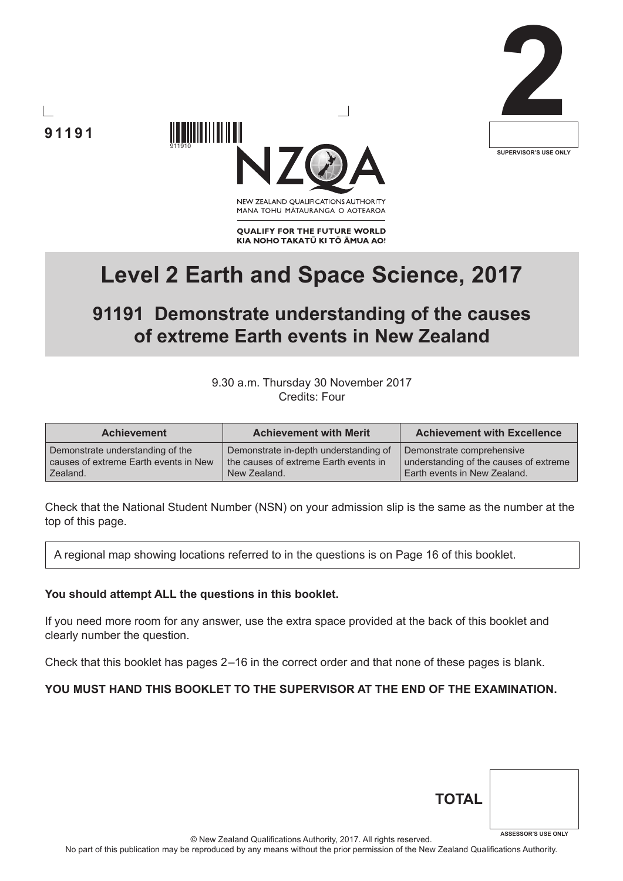



**91191**

NEW ZEALAND OUALIFICATIONS AUTHORITY MANA TOHU MĀTAURANGA O AOTEAROA

**QUALIFY FOR THE FUTURE WORLD** KIA NOHO TAKATŪ KI TŌ ĀMUA AO!

# **Level 2 Earth and Space Science, 2017**

## **91191 Demonstrate understanding of the causes of extreme Earth events in New Zealand**

9.30 a.m. Thursday 30 November 2017 Credits: Four

| <b>Achievement</b>                    | <b>Achievement with Merit</b>         | <b>Achievement with Excellence</b>     |
|---------------------------------------|---------------------------------------|----------------------------------------|
| Demonstrate understanding of the      | Demonstrate in-depth understanding of | Demonstrate comprehensive              |
| causes of extreme Earth events in New | the causes of extreme Earth events in | understanding of the causes of extreme |
| Zealand.                              | New Zealand.                          | Earth events in New Zealand.           |

Check that the National Student Number (NSN) on your admission slip is the same as the number at the top of this page.

A regional map showing locations referred to in the questions is on Page 16 of this booklet.

### **You should attempt ALL the questions in this booklet.**

If you need more room for any answer, use the extra space provided at the back of this booklet and clearly number the question.

Check that this booklet has pages 2 –16 in the correct order and that none of these pages is blank.

## **YOU MUST HAND THIS BOOKLET TO THE SUPERVISOR AT THE END OF THE EXAMINATION.**

| <b>TOTAL</b> |                            |
|--------------|----------------------------|
|              | <b>ASSESSOR'S USE ONLY</b> |

© New Zealand Qualifications Authority, 2017. All rights reserved.

No part of this publication may be reproduced by any means without the prior permission of the New Zealand Qualifications Authority.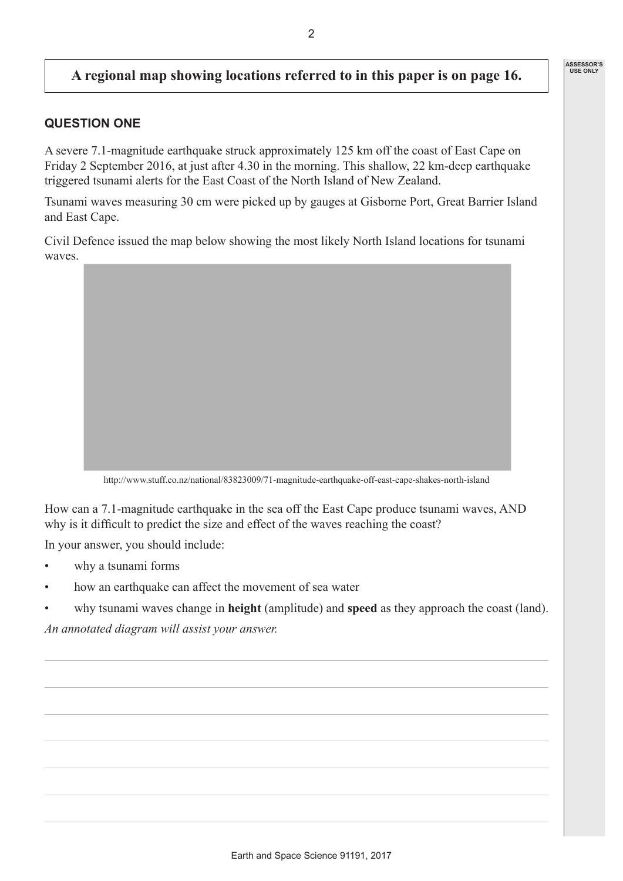## **A regional map showing locations referred to in this paper is on page 16.**

## **QUESTION ONE**

A severe 7.1-magnitude earthquake struck approximately 125 km off the coast of East Cape on Friday 2 September 2016, at just after 4.30 in the morning. This shallow, 22 km-deep earthquake triggered tsunami alerts for the East Coast of the North Island of New Zealand.

Tsunami waves measuring 30 cm were picked up by gauges at Gisborne Port, Great Barrier Island and East Cape.

Civil Defence issued the map below showing the most likely North Island locations for tsunami waves.



http://www.stuff.co.nz/national/83823009/71-magnitude-earthquake-off-east-cape-shakes-north-island

How can a 7.1-magnitude earthquake in the sea off the East Cape produce tsunami waves, AND why is it difficult to predict the size and effect of the waves reaching the coast?

In your answer, you should include:

- why a tsunami forms
- how an earthquake can affect the movement of sea water
- why tsunami waves change in **height** (amplitude) and **speed** as they approach the coast (land).

*An annotated diagram will assist your answer.*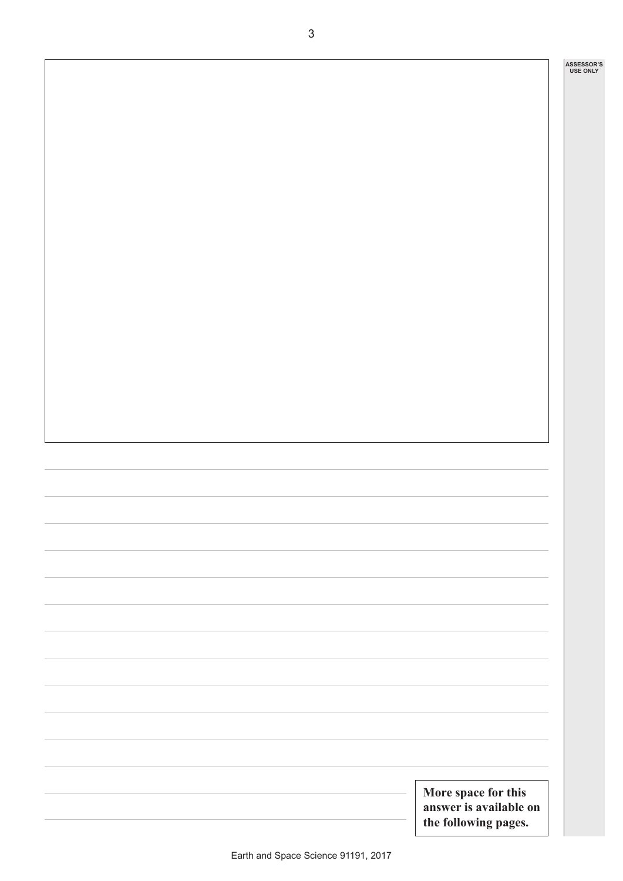| More space for this    |
|------------------------|
| answer is available on |
| the following pages.   |
|                        |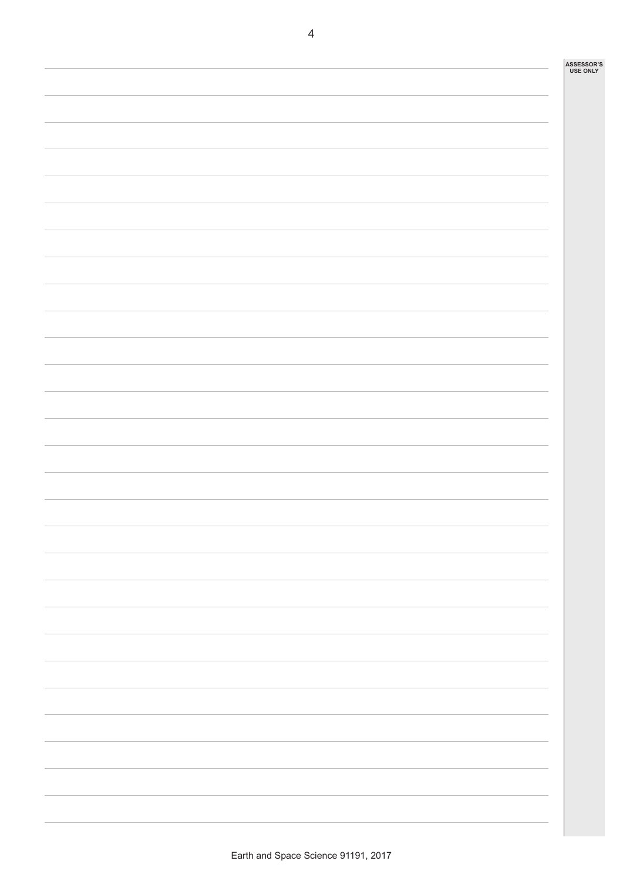| ASSESSOR'S<br>USE ONLY |
|------------------------|
|                        |
|                        |
|                        |
|                        |
|                        |
|                        |
|                        |
|                        |
|                        |
|                        |
|                        |
|                        |
|                        |
|                        |
|                        |
|                        |
|                        |
|                        |
|                        |
|                        |
|                        |
|                        |
|                        |
|                        |
|                        |
|                        |
|                        |
|                        |
|                        |
|                        |
|                        |
|                        |
|                        |
|                        |
|                        |
|                        |
|                        |
|                        |
|                        |
|                        |
|                        |
|                        |
|                        |
|                        |
|                        |
|                        |
|                        |
|                        |
|                        |
|                        |
|                        |
|                        |
|                        |
|                        |
|                        |
|                        |
|                        |
|                        |
|                        |
|                        |
|                        |
|                        |
|                        |
|                        |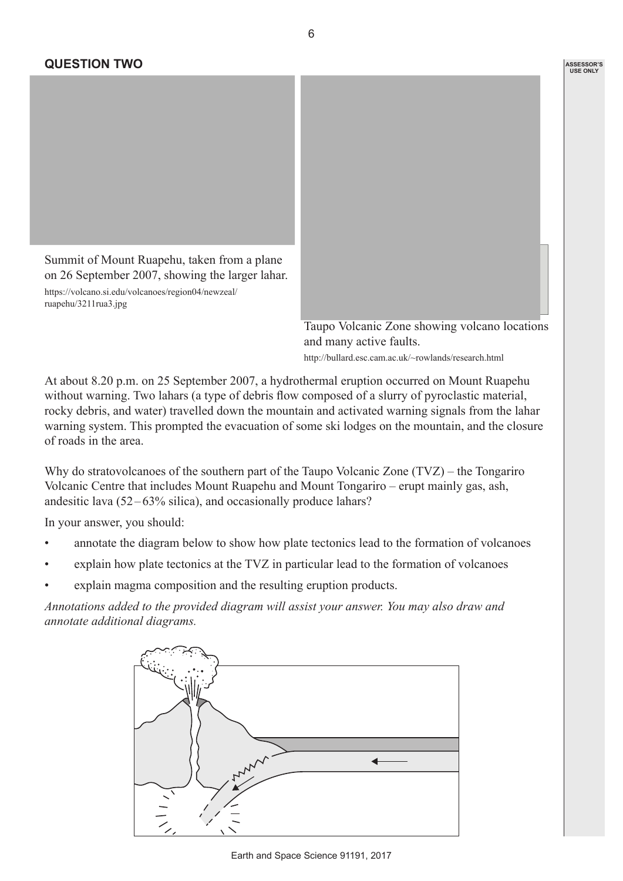## **QUESTION TWO**

Summit of Mount Ruapehu, taken from a plane on 26 September 2007, showing the larger lahar. https://volcano.si.edu/volcanoes/region04/newzeal/ ruapehu/3211rua3.jpg

Taupo Volcanic Zone showing volcano locations and many active faults.

http://bullard.esc.cam.ac.uk/~rowlands/research.html

At about 8.20 p.m. on 25 September 2007, a hydrothermal eruption occurred on Mount Ruapehu without warning. Two lahars (a type of debris flow composed of a slurry of pyroclastic material, rocky debris, and water) travelled down the mountain and activated warning signals from the lahar warning system. This prompted the evacuation of some ski lodges on the mountain, and the closure of roads in the area.

Why do stratovolcanoes of the southern part of the Taupo Volcanic Zone (TVZ) – the Tongariro Volcanic Centre that includes Mount Ruapehu and Mount Tongariro – erupt mainly gas, ash, andesitic lava (52–63% silica), and occasionally produce lahars?

In your answer, you should:

- annotate the diagram below to show how plate tectonics lead to the formation of volcanoes
- explain how plate tectonics at the TVZ in particular lead to the formation of volcanoes
- explain magma composition and the resulting eruption products.

*Annotations added to the provided diagram will assist your answer. You may also draw and annotate additional diagrams.*

6



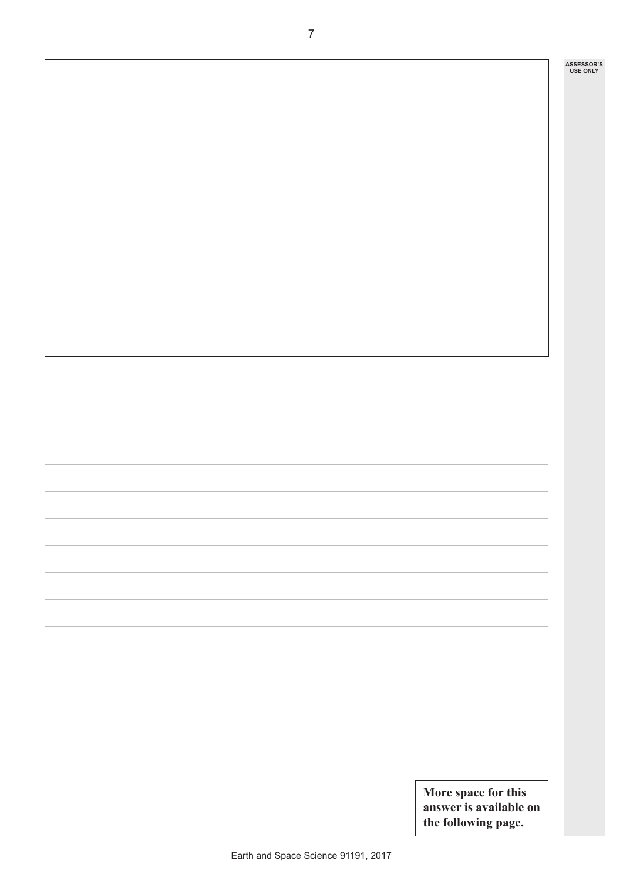| More space for this<br>answer is available on<br>the following page. |
|----------------------------------------------------------------------|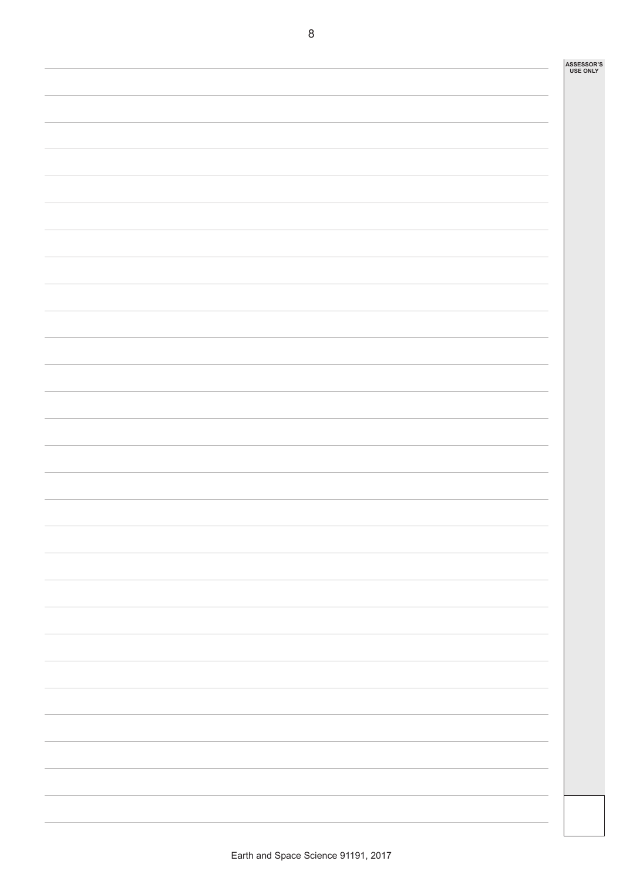| ASSESSOR'S<br>USE ONLY |
|------------------------|
|                        |
|                        |
|                        |
|                        |
|                        |
|                        |
|                        |
|                        |
|                        |
|                        |
|                        |
|                        |
|                        |
|                        |
|                        |
|                        |
|                        |
|                        |
|                        |
|                        |
|                        |
|                        |
|                        |
|                        |
|                        |
|                        |
|                        |
|                        |
|                        |
|                        |
|                        |
|                        |
|                        |
|                        |
|                        |
|                        |
|                        |
|                        |
|                        |
|                        |
|                        |
|                        |
|                        |
|                        |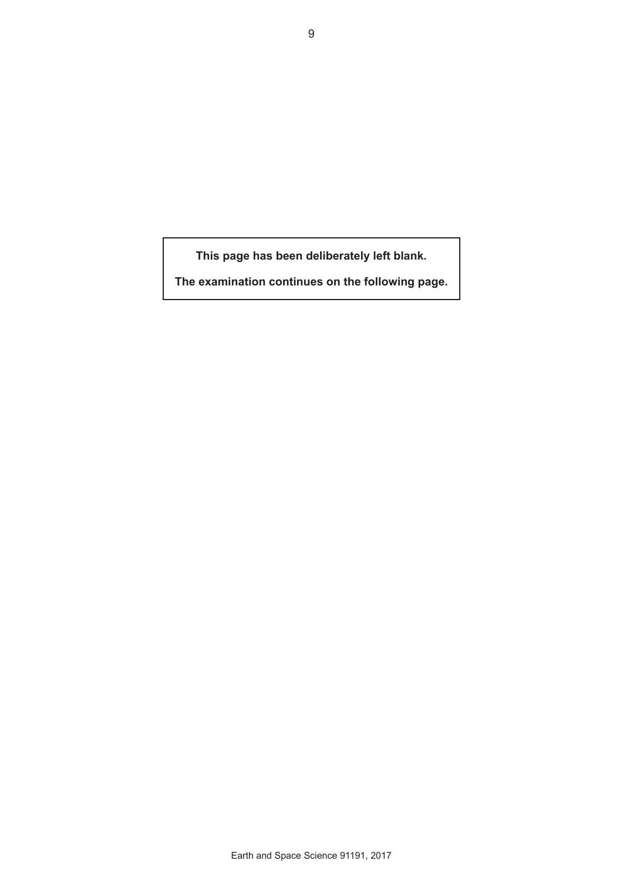**This page has been deliberately left blank.**

**The examination continues on the following page.**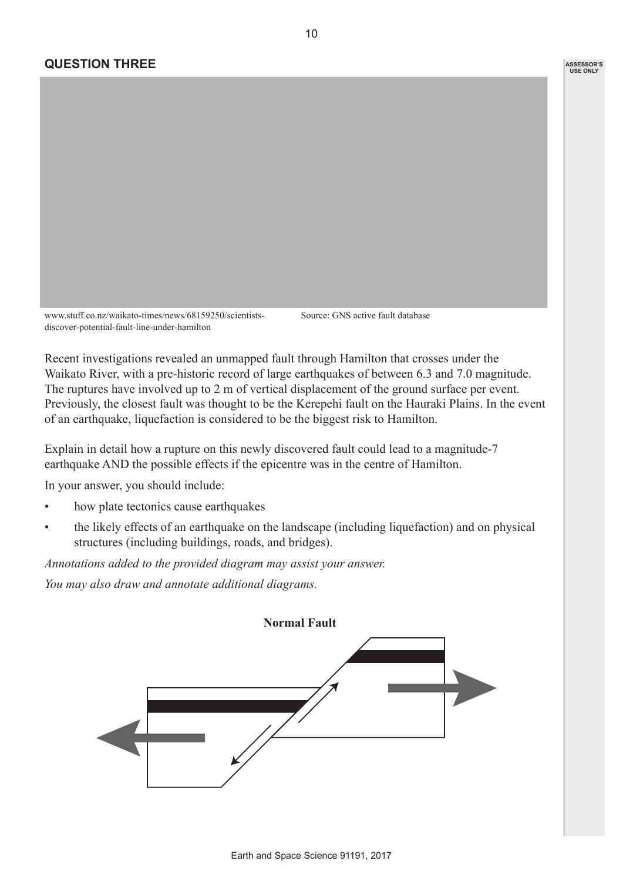www.stuff.co.nz/waikato-times/news/68159250/scientistsdiscover-potential-fault-line-under-hamilton



Recent investigations revealed an unmapped fault through Hamilton that crosses under the Waikato River, with a pre-historic record of large earthquakes of between 6.3 and 7.0 magnitude. The ruptures have involved up to 2 m of vertical displacement of the ground surface per event. Previously, the closest fault was thought to be the Kerepehi fault on the Hauraki Plains. In the event of an earthquake, liquefaction is considered to be the biggest risk to Hamilton.

Explain in detail how a rupture on this newly discovered fault could lead to a magnitude-7 earthquake AND the possible effects if the epicentre was in the centre of Hamilton.

In your answer, you should include:

- how plate tectonics cause earthquakes
- the likely effects of an earthquake on the landscape (including liquefaction) and on physical structures (including buildings, roads, and bridges).

*Annotations added to the provided diagram may assist your answer.*

*You may also draw and annotate additional diagrams.*

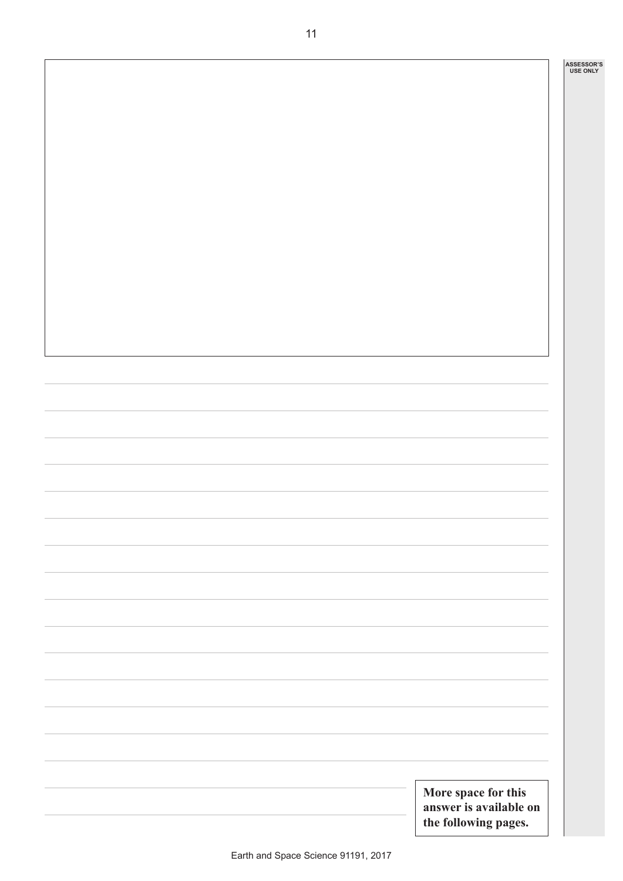**More space for this answer is available on the following pages.**

| <b>ASSESSOR'S</b> |
|-------------------|
| <b>USE ONLY</b>   |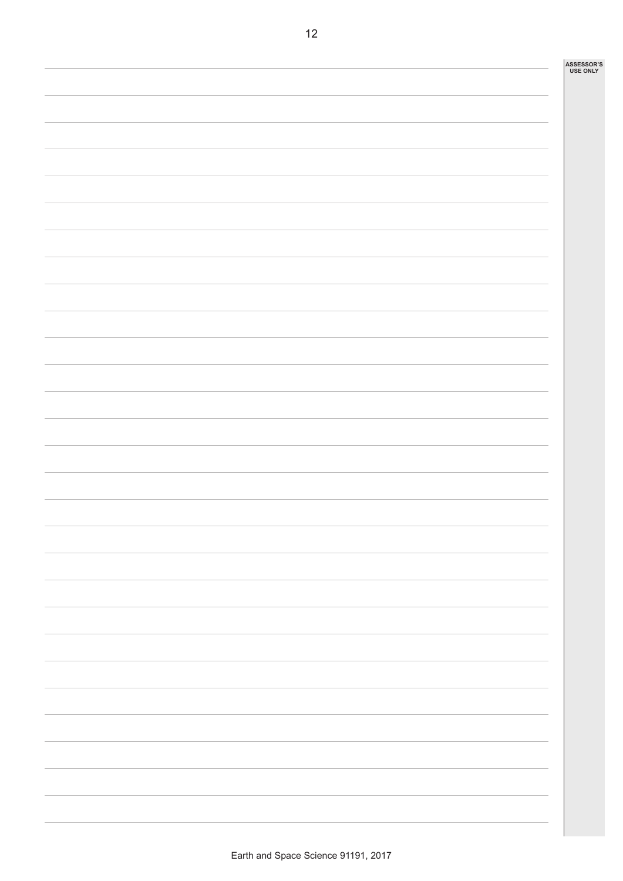|  |  | ASSESSOR'S<br>USE ONLY |
|--|--|------------------------|
|  |  |                        |
|  |  |                        |
|  |  |                        |
|  |  |                        |
|  |  |                        |
|  |  |                        |
|  |  |                        |
|  |  |                        |
|  |  |                        |
|  |  |                        |
|  |  |                        |
|  |  |                        |
|  |  |                        |
|  |  |                        |
|  |  |                        |
|  |  |                        |
|  |  |                        |
|  |  |                        |
|  |  |                        |
|  |  |                        |
|  |  |                        |
|  |  |                        |
|  |  |                        |
|  |  |                        |
|  |  |                        |
|  |  |                        |
|  |  |                        |
|  |  |                        |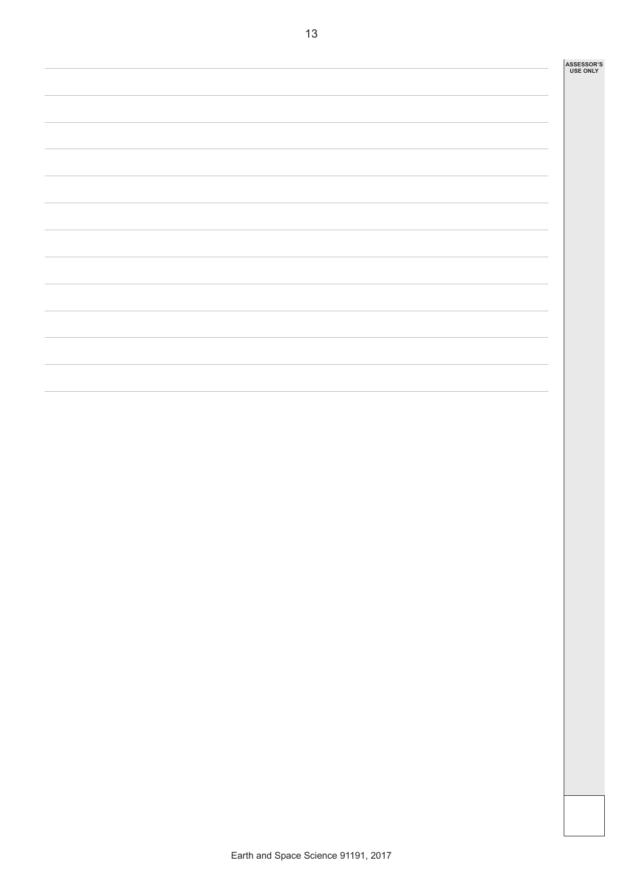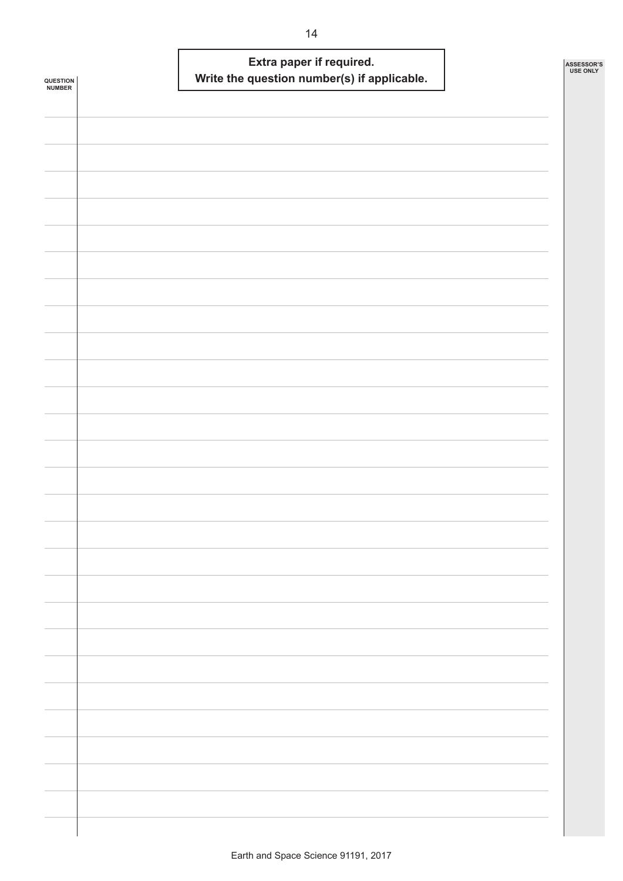| <b>QUESTION<br/>NUMBER</b> |  | Extra paper if required.<br>Write the question number(s) if applicable. |  |  | ASSESSOR'S<br><b>USE ONLY</b> |
|----------------------------|--|-------------------------------------------------------------------------|--|--|-------------------------------|
|                            |  |                                                                         |  |  |                               |
|                            |  |                                                                         |  |  |                               |
|                            |  |                                                                         |  |  |                               |
|                            |  |                                                                         |  |  |                               |
|                            |  |                                                                         |  |  |                               |
|                            |  |                                                                         |  |  |                               |
|                            |  |                                                                         |  |  |                               |
|                            |  |                                                                         |  |  |                               |
|                            |  |                                                                         |  |  |                               |
|                            |  |                                                                         |  |  |                               |
|                            |  |                                                                         |  |  |                               |
|                            |  |                                                                         |  |  |                               |
|                            |  |                                                                         |  |  |                               |
|                            |  |                                                                         |  |  |                               |
|                            |  |                                                                         |  |  |                               |
|                            |  |                                                                         |  |  |                               |
|                            |  |                                                                         |  |  |                               |
|                            |  |                                                                         |  |  |                               |
|                            |  |                                                                         |  |  |                               |
|                            |  |                                                                         |  |  |                               |
|                            |  |                                                                         |  |  |                               |
|                            |  |                                                                         |  |  |                               |
|                            |  |                                                                         |  |  |                               |
|                            |  |                                                                         |  |  |                               |
|                            |  |                                                                         |  |  |                               |
|                            |  |                                                                         |  |  |                               |
|                            |  |                                                                         |  |  |                               |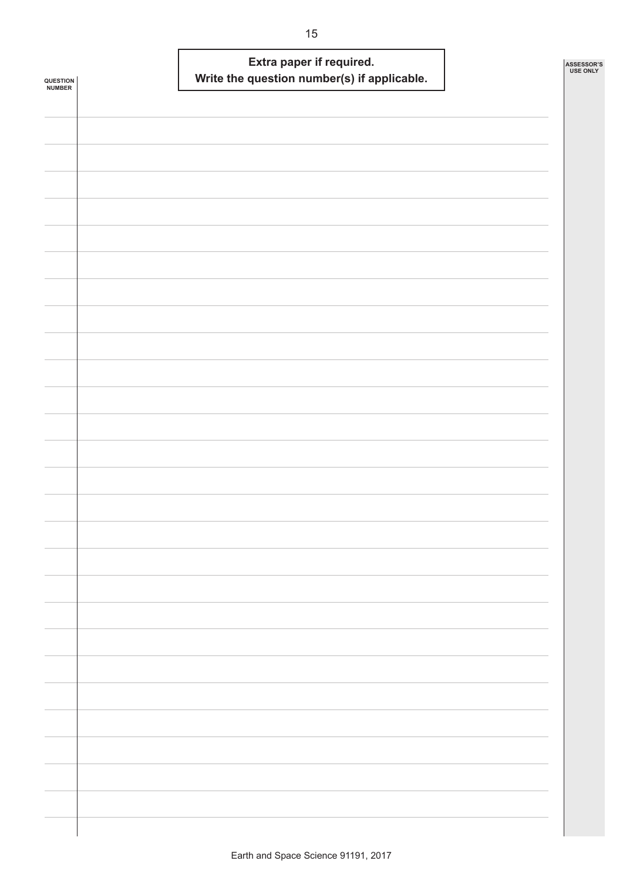| <b>QUESTION<br/>NUMBER</b> |  | Extra paper if required.<br>Write the question number(s) if applicable. |  |  | ASSESSOR'S<br><b>USE ONLY</b> |
|----------------------------|--|-------------------------------------------------------------------------|--|--|-------------------------------|
|                            |  |                                                                         |  |  |                               |
|                            |  |                                                                         |  |  |                               |
|                            |  |                                                                         |  |  |                               |
|                            |  |                                                                         |  |  |                               |
|                            |  |                                                                         |  |  |                               |
|                            |  |                                                                         |  |  |                               |
|                            |  |                                                                         |  |  |                               |
|                            |  |                                                                         |  |  |                               |
|                            |  |                                                                         |  |  |                               |
|                            |  |                                                                         |  |  |                               |
|                            |  |                                                                         |  |  |                               |
|                            |  |                                                                         |  |  |                               |
|                            |  |                                                                         |  |  |                               |
|                            |  |                                                                         |  |  |                               |
|                            |  |                                                                         |  |  |                               |
|                            |  |                                                                         |  |  |                               |
|                            |  |                                                                         |  |  |                               |
|                            |  |                                                                         |  |  |                               |
|                            |  |                                                                         |  |  |                               |
|                            |  |                                                                         |  |  |                               |
|                            |  |                                                                         |  |  |                               |
|                            |  |                                                                         |  |  |                               |
|                            |  |                                                                         |  |  |                               |
|                            |  |                                                                         |  |  |                               |
|                            |  |                                                                         |  |  |                               |
|                            |  |                                                                         |  |  |                               |
|                            |  |                                                                         |  |  |                               |